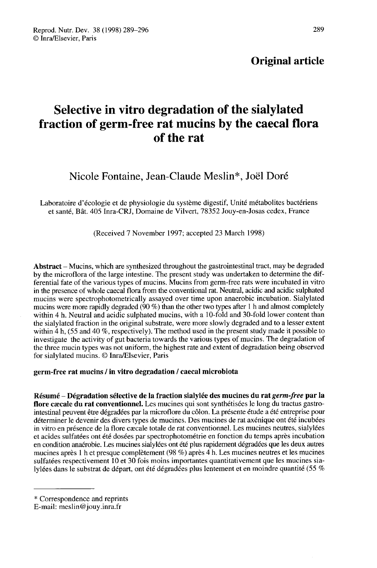# Selective in vitro degradation of the sialylated fraction of germ-free rat mucins by the caecal flora of the rat

## Nicole Fontaine. Jean-Claude Meslin<sup>\*</sup>, Joël Doré

Laboratoire d'écologie et de physiologie du système digestif, Unité métabolites bactériens et santé, Bât. 405 Inra-CRJ, Domaine de Vilvert, 78352 Jouy-en-Josas cedex, France

(Received 7 November 1997; accepted 23 March 1998)

Abstract - Mucins, which are synthesized throughout the gastrointestinal tract, may be degraded by the microflora of the large intestine. The present study was undertaken to determine the differential fate of the various types of mucins. Mucins from germ-free rats were incubated in vitro in the presence of whole caecal flora from the conventional rat. Neutral, acidic and acidic sulphated mucins were spectrophotometrically assayed over time upon anaerobic incubation. Sialylated mucins were more rapidly degraded (90 %) than the other two types after 1 h and almost completely within 4 h. Neutral and acidic sulphated mucins, with a 10-fold and 30-fold lower content than the sialylated fraction in the original substrate, were more slowly degraded and to a lesser extent within 4 h, (55 and 40 %, respectively). The method used in the present study made it possible to investigate the activity of gut bacteria towards the various types of mucins. The degradation of the three mucin types was not uniform, the highest rate and extent of degradation being observed for sialylated mucins. @ Inra/Elsevier, Paris

#### germ-free rat mucins / in vitro degradation / caecal microbiota

Résumé – Dégradation sélective de la fraction sialylée des mucines du rat *germ-free* par la flore caecale du rat conventionnel. Les mucines qui sont synthétisées le long du tractus gastrointestinal peuvent être dégradées par la microflore du côlon. La présente étude a été entreprise pour déterminer le devenir des divers types de mucines. Des mucines de rat axénique ont été incubées et acides sulfatées ont été dosées par spectrophotométrie en fonction du temps après incubation en condition anaérobie. Les mucines sialylées ont été plus rapidement dégradées que les deux autres mucines après 1 h et presque complètement (98 %) après 4 h. Les mucines neutres et les mucines sulfatées respectivement 10 et 30 fois moins importantes quantitativement que les mucines sialylées dans le substrat de départ, ont été dégradées plus lentement et en moindre quantité (55 %

<sup>\*</sup> Correspondence and reprints

E-mail: meslin@jouy.inra.fr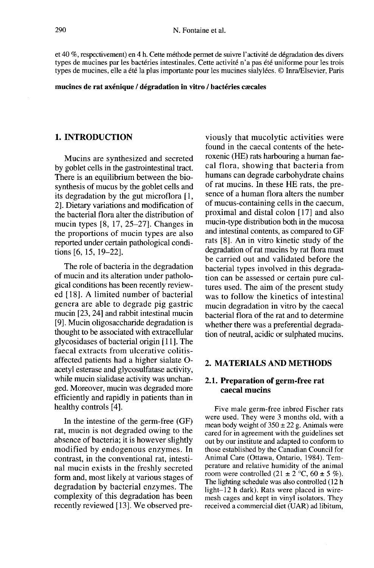et 40 %, respectivement) en 4 h. Cette méthode permet de suivre l'activité de dégradation des divers types de mucines par les bactéries intestinales. Cette activité n'a pas été uniforme pour les trois types de mucines, elle a été la plus importante pour les mucines sialylées. © Inra/Elsevier, Paris

mucines de rat axénique / dégradation in vitro / bactéries caecales

#### 1. INTRODUCTION

Mucins are synthesized and secreted by goblet cells in the gastrointestinal tract. There is an equilibrium between the biosynthesis of mucus by the goblet cells and its degradation by the gut microflora [l, 2]. Dietary variations and modification of the bacterial flora alter the distribution of mucin types [8, 17, 25-27]. Changes in the proportions of mucin types are also reported under certain pathological conditions [6, 15, 19-22].

The role of bacteria in the degradation of mucin and its alteration under pathological conditions has been recently reviewed [18]. A limited number of bacterial genera are able to degrade pig gastric mucin [23, 24] and rabbit intestinal mucin [9]. Mucin oligosaccharide degradation is thought to be associated with extracellular glycosidases of bacterial origin [11]. The faecal extracts from ulcerative colitisaffected patients had a higher sialate 0 acetyl esterase and glycosulfatase activity, while mucin sialidase activity was unchanged. Moreover, mucin was degraded more efficiently and rapidly in patients than in healthy controls [4].

In the intestine of the germ-free (GF) rat, mucin is not degraded owing to the absence of bacteria; it is however slightly modified by endogenous enzymes. In contrast, in the conventional rat, intestinal mucin exists in the freshly secreted form and, most likely at various stages of degradation by bacterial enzymes. The complexity of this degradation has been recently reviewed [13]. We observed pre-

viously that mucolytic activities were found in the caecal contents of the heteroxenic (HE) rats harbouring a human faecal flora, showing that bacteria from humans can degrade carbohydrate chains of rat mucins. In these HE rats, the presence of a human flora alters the number of mucus-containing cells in the caecum, proximal and distal colon [17] and also mucin-type distribution both in the mucosa and intestinal contents, as compared to GF rats [8]. An in vitro kinetic study of the degradation of rat mucins by rat flora must be carried out and validated before the bacterial types involved in this degradation can be assessed or certain pure cultures used. The aim of the present study was to follow the kinetics of intestinal mucin degradation in vitro by the caecal bacterial flora of the rat and to determine whether there was a preferential degradation of neutral, acidic or sulphated mucins.

#### 2. MATERIALS AND METHODS

## 2.1. Preparation of germ-free rat caecal mucins

Five male germ-free inbred Fischer rats were used. They were 3 months old, with a mean body weight of  $350 \pm 22$  g. Animals were cared for in agreement with the guidelines set out by our institute and adapted to conform to those established by the Canadian Council for Animal Care (Ottawa, Ontario, 1984). Temperature and relative humidity of the animal room were controlled  $(21 \pm 2^{\circ}C, 60 \pm 5 \%)$ . The lighting schedule was also controlled (12 h light $-12$  h dark). Rats were placed in wiremesh cages and kept in vinyl isolators. They received a commercial diet (UAR) ad libitum,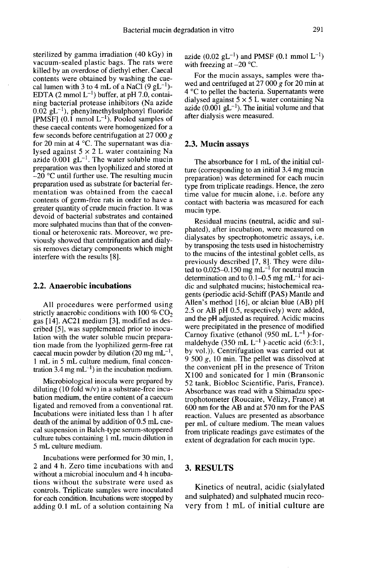sterilized by gamma irradiation (40 kGy) in vacuum-sealed plastic bags. The rats were killed by an overdose of diethyl ether. Caecal contents were obtained by washing the cae-<br>cal lumen with 3 to 4 mL of a NaCl  $(9 \text{ gL}^{-1})$ killed by an overdose of diethyl ether. Caecal<br>contents were obtained by washing the cae-<br>cal lumen with 3 to 4 mL of a NaCl (9 gL<sup>-1</sup>)-<br>EDTA (2 mmol L<sup>-1</sup>) buffer, at pH 7.0, contai-<br>mina history. On taining bacterial protease inhibitors (Na azide EDTA (2 mmol L<sup>-1</sup>) buffer, at pH 7.0, contai-<br>ning bacterial protease inhibitors (Na azide<br>0.02 gL<sup>-1</sup>), phenylmethylsulphonyl fluoride<br>[PMSF] (0.1 mmol L<sup>-1</sup>). Pooled samples of<br>these cascal contents were bomogenized fo these caecal contents were homogenized for a few seconds before centrifugation at 27 000 g for 20 min at 4 °C. The supernatant was dialysed against  $5 \times 2$  L water containing Na azide  $0.001$  gL<sup>-1</sup>. The water soluble mucin preparation was then lyophilized and stored at  $-20$  °C until further use. The resulting mucin preparation used as substrate for bacterial fermentation was obtained from the caecal contents of germ-free rats in order to have a greater quantity of crude mucin fraction. It was devoid of bacterial substrates and contained more sulphated mucins than that of the conventional or heteroxenic rats. Moreover, we previously showed that centrifugation and dialysis removes dietary components which might interfere with the results [8].

## 2.2. Anaerobic incubations

All procedures were performed using<br>strictly anaerobic conditions with  $100\%$  CO<sub>2</sub><br>gas [14]  $\Delta$ C<sup>2</sup>1 medium [3] modified as desgas [14]. AC21 medium [3], modified as described [5], was supplemented prior to inoculation with the water soluble mucin preparation made from the lyophilized germ-free rat caecal mucin powder by dilution (20 mg mL<sup>-1</sup>, 1 mL in 5 mL culture medium, final concencaecal mucin powder by dilution (20 mg mL<sup>-1</sup>)<br>1 mL in 5 mL culture medium, final concentration 3.4 mg mL<sup>-1</sup>) in the incubation medium.

Microbiological inocula were prepared by diluting (10 fold w/v) in a substrate-free incubation medium, the entire content of a caecum ligated and removed from a conventional rat. Incubations were initiated less than 1 h after death of the animal by addition of 0.5 mL caecal suspension in Balch-type serum-stoppered culture tubes containing 1 mL mucin dilution in 5 mL culture medium.

Incubations were performed for 30 min, 1, 2 and 4 h. Zero time incubations with and without a microbial inoculum and 4 h incubations without the substrate were used as controls. Triplicate samples were inoculated for each condition. Incubations were stopped by adding 0.1 mL of a solution containing Na azide (0.02  $gL^{-1}$ ) and PMSF (0.1 mmol  $L^{-1}$ ) with freezing at  $-20$  °C.

For the mucin assays, samples were thawed and centrifuged at 27 000 g for 20 min at 4 °C to pellet the bacteria. Supernatants were dialysed against  $5 \times 5$  L water containing Na 4 °C to pellet the bacteria. Supernatants were<br>dialysed against  $5 \times 5$  L water containing Na<br>azide (0.001 gL<sup>-1</sup>). The initial volume and that<br>after dialysis were measured. after dialysis were measured.

#### 2.3. Mucin assays

The absorbance for 1 mL of the initial culture (corresponding to an initial 3.4 mg mucin preparation) was determined for each mucin type from triplicate readings. Hence, the zero time value for mucin alone, i.e. before any contact with bacteria was measured for each mucin type.

Residual mucins (neutral, acidic and sulphated), after incubation, were measured on dialysates by spectrophotometric assays, i.e. by transposing the tests used in histochemistry to the mucins of the intestinal goblet cells, as previously described [7, 8]. They were diluted to  $0.025-0.150$  mg mL<sup>-1</sup> for neutral mucin determination and to  $\tilde{0.1}$ –0.5 mg mL<sup>-1</sup> for acidic and sulphated mucins; histochemical reagents (periodic acid-Schiff (PAS) Mantle and Allen's method [16], or alcian blue (AB) pH 2.5 or AB pH 0.5, respectively) were added, and the pH adjusted as required. Acidic mucins were precipitated in the presence of modified Carnoy fixative (ethanol (950 mL  $L^{-1}$ )-formaldehyde (350 mL  $L^{-1}$ )-acetic acid (6:3:1, by vol.)). Centrifugation was carried out at 9 500  $g$ , 10 min. The pellet was dissolved at the convenient pH in the presence of Triton X100 and sonicated for 1 min (Bransonic 52 tank, Biobloc Scientific, Paris, France). Absorbance was read with a Shimadzu spectrophotometer (Roucaire, V61izy, France) at 600 nm for the AB and at 570 nm for the PAS reaction. Values are presented as absorbance per mL of culture medium. The mean values from triplicate readings gave estimates of the extent of degradation for each mucin type.

#### 3. RESULTS

Kinetics of neutral, acidic (sialylated and sulphated) and sulphated mucin recovery from 1 mL of initial culture are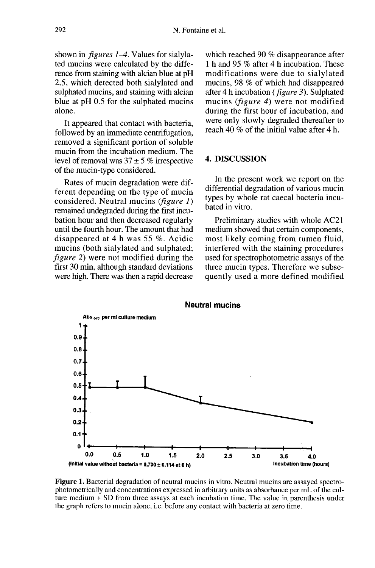shown in *figures 1–4*. Values for sialylated mucins were calculated by the difference from staining with alcian blue at pH 2.5, which detected both sialylated and sulphated mucins, and staining with alcian blue at pH 0.5 for the sulphated mucins alone.

It appeared that contact with bacteria, followed by an immediate centrifugation, removed a significant portion of soluble mucin from the incubation medium. The level of removal was  $37 \pm 5$  % irrespective of the mucin-type considered.

Rates of mucin degradation were different depending on the type of mucin considered. Neutral mucins (figure  $1$ ) remained undegraded during the first incubation hour and then decreased regularly until the fourth hour. The amount that had disappeared at 4 h was 55 %. Acidic mucins (both sialylated and sulphated; figure 2) were not modified during the first 30 min, although standard deviations were high. There was then a rapid decrease which reached 90 % disappearance after 1 h and 95 % after 4 h incubation. These modifications were due to sialylated mucins, 98 % of which had disappeared after 4 h incubation ( figure 3). Sulphated mucins (*figure 4*) were not modified during the first hour of incubation, and were only slowly degraded thereafter to reach 40 % of the initial value after 4 h.

#### 4. DISCUSSION

In the present work we report on the differential degradation of various mucin types by whole rat caecal bacteria incubated in vitro.

Preliminary studies with whole AC21 medium showed that certain components, most likely coming from rumen fluid, interfered with the staining procedures used for spectrophotometric assays of the three mucin types. Therefore we subsequently used a more defined modified



Figure 1. Bacterial degradation of neutral mucins in vitro. Neutral mucins are assayed spectrophotometrically and concentrations expressed in arbitrary units as absorbance per mL of the culture medium  $+$  SD from three assays at each incubation time. The value in parenthesis under the graph refers to mucin alone, i.e. before any contact with bacteria at zero time.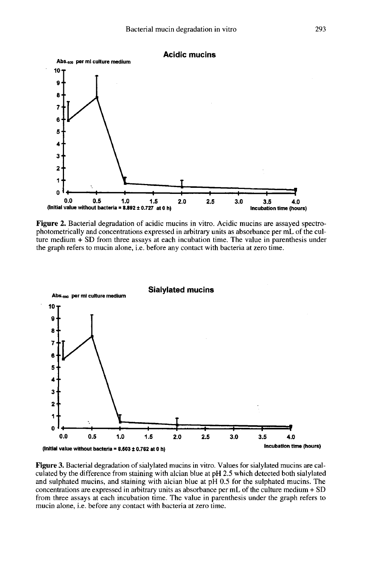

Figure 2. Bacterial degradation of acidic mucins in vitro. Acidic mucins are assayed spectrophotometrically and concentrations expressed in arbitrary units as absorbance per mL of the culture medium  $+$  SD from three assays at each incubation time. The value in parenthesis under the graph refers to mucin alone, i.e. before any contact with bacteria at zero time.



Figure 3. Bacterial degradation of sialylated mucins in vitro. Values for sialylated mucins are calculated by the difference from staining with alcian blue at pH 2.5 which detected both sialylated and sulphated mucins, and staining with alcian blue at pH 0.5 for the sulphated mucins. The concentrations are expressed in arbitrary units as absorbance per mL of the culture medium + SD from three assays at each incubation time. The value in parenthesis under the graph refers to mucin alone, i.e. before any contact with bacteria at zero time.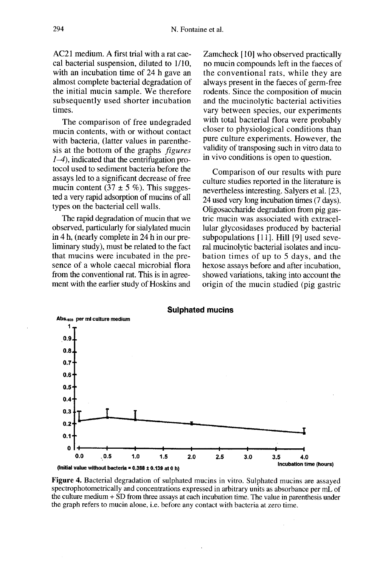AC21 medium. A first trial with a rat caecal bacterial suspension, diluted to 1/10, with an incubation time of 24 h gave an almost complete bacterial degradation of the initial mucin sample. We therefore subsequently used shorter incubation times.

The comparison of free undegraded mucin contents, with or without contact with bacteria, (latter values in parenthesis at the bottom of the graphs figures  $1-4$ ), indicated that the centrifugation protocol used to sediment bacteria before the assays led to a significant decrease of free mucin content (37  $\pm$  5 %). This suggested a very rapid adsorption of mucins of all types on the bacterial cell walls.

The rapid degradation of mucin that we observed, particularly for sialylated mucin in 4 h, (nearly complete in 24 h in our preliminary study), must be related to the fact that mucins were incubated in the pre sence of a whole caecal microbial flora from the conventional rat. This is in agree ment with the earlier study of Hoskins and

Zamcheck [10] who observed practically no mucin compounds left in the faeces of the conventional rats, while they are always present in the faeces of germ-free rodents. Since the composition of mucin and the mucinolytic bacterial activities vary between species, our experiments with total bacterial flora were probably closer to physiological conditions than pure culture experiments. However, the validity of transposing such in vitro data to in vivo conditions is open to question.

Comparison of our results with pure culture studies reported in the literature is nevertheless interesting. Salyers et al. [23, 24 used very long incubation times (7 days). Oligosaccharide degradation from pig gastric mucin was associated with extracellular glycosidases produced by bacterial subpopulations [11]. Hill [9] used several mucinolytic bacterial isolates and incubation times of up to 5 days, and the hexose assays before and after incubation, showed variations, taking into account the origin of the mucin studied (pig gastric



Figure 4. Bacterial degradation of sulphated mucins in vitro. Sulphated mucins are assayed spectrophotometrically and concentrations expressed in arbitrary units as absorbance per mL of the culture medium + SD from three assays at each incubation time. The value in parenthesis under the graph refers to mucin alone, i.e. before any contact with bacteria at zero time.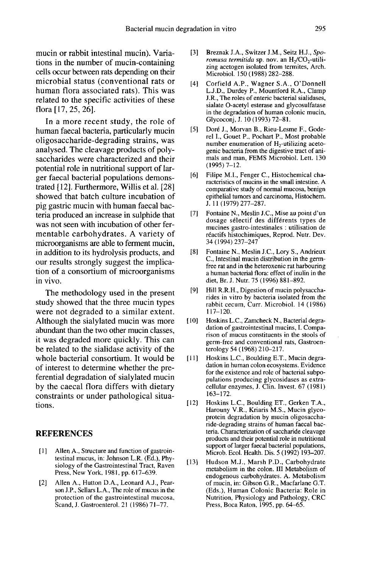mucin or rabbit intestinal mucin). Variations in the number of mucin-containing cells occur between rats depending on their microbial status (conventional rats or human flora associated rats). This was related to the specific activities of these flora [17, 25, 26].

In a more recent study, the role of human faecal bacteria, particularly mucin oligosaccharide-degrading strains, was analysed. The cleavage products of polysaccharides were characterized and their potential role in nutritional support of larger faecal bacterial populations demonstrated [12]. Furthermore, Willis et al. [28] showed that batch culture incubation of pig gastric mucin with human faecal bacteria produced an increase in sulphide that was not seen with incubation of other fermentable carbohydrates. A variety of microorganisms are able to ferment mucin, in addition to its hydrolysis products, and our results strongly suggest the implication of a consortium of microorganisms in vivo.

The methodology used in the present study showed that the three mucin types were not degraded to a similar extent. Although the sialylated mucin was more abundant than the two other mucin classes, it was degraded more quickly. This can be related to the sialidase activity of the whole bacterial consortium. It would be of interest to determine whether the preferential degradation of sialylated mucin by the caecal flora differs with dietary constraints or under pathological situations.

## **REFERENCES**

- [1] Allen A., Structure and function of gastrointestinal mucus, in: Johnson L.R. (Ed.), Physiology of the Gastrointestinal Tract, Raven Press, New York, 1981, pp. 617-639.
- [2] Allen A., Hutton D.A., Leonard A.J., Pearson J.P., Sellars L.A., The role of mucus in the protection of the gastrointestinal mucosa, Scand, J. Gastroenterol. 21 ( 1986) 71-77.
- adation in vitro<br>
[3] Breznak J.A., Switzer J.M., Seitz H.J., Spo-<br> *romusa termitida* sp. nov. an H<sub>2</sub>/CO<sub>2</sub>-utili-<br>
zing acetogen isolated from termites, Arch.<br>
Microbiol 150 (1988) 282–288 Microbiol. 150 (1988) 282-288.
- [4] Corfield A.P., Wagner S.A., O'Donnell L.J.D., Durdey P., Mountford R.A., Clamp J.R., The roles of enteric bacterial sialidases, sialate 0-acetyl esterase and glycosulfatase in the degradation of human colonic mucin, Glycoconi, J. 10 (1993) 72-81.
- [5] Dore J., Morvan B., Rieu-Lesme F., Goderel I., Gouet P., Pochart P., Most probable<br>number enumeration of H<sub>2</sub>-utilizing acetosialate O-acetyl esterase and glycosultatase<br>in the degradation of human colonic mucin,<br>Glycoconj, J. 10 (1993) 72–81.<br>Doré J., Morvan B., Rieu-Lesme F., Gode-<br>rel I., Gouet P., Pochart P., Most probable<br>number enumeratio genic bacteria from the digestive tract of animals and man, FEMS Microbiol. Lett. 130  $(1995)$  7-12.
- [6] Filipe M.L, Fenger C., Histochemical characteristics of mucins in the small intestine. A comparative study of normal mucosa, benign epithelial tumors and carcinoma, Histochem. J. 11 (1979) 277-287.
- [7] Fontaine N., Meslin J.C., Mise au point d'un dosage sdiectif des différents types de mucines gastro-intestinales : utilisation de réactifs histochimiques, Reprod. Nutr. Dev. 34 (1994) 237-247
- [8] Fontaine N., Meslin J.C., Lory S., Andrieux C., Intestinal mucin distribution in the germfree rat and in the heteroxenic rat harbouring a human bacterial flora: effect of inulin in the diet, Br. J. Nutr. 75 (1996) 881-892.
- [9] Hill R.R.H., Digestion of mucin polysaccharides in vitro by bacteria isolated from the rabbit cecum, Curr. Microbiol. 14 (1986) 117-120.
- [10] Hoskins L.C., Zamcheck N., Bacterial degradation of gastrointestinal mucins, 1. Comparison of mucus constituents in the stools of germ-free and conventional rats, Gastroenterology 54 (1968) 210-217.
- [11] Hoskins L.C., Boulding E.T., Mucin degradation in human colon ecosystems. Evidence for the existence and role of bacterial subpopulations producing glycosidases as extracellular enzymes, J. Clin. Invest. 67 (1981) 163-172.
- [12] Hoskins L.C., Boulding ET., Gerken T.A., Harouny V.R., Kriaris M.S., Mucin glycoprotein degradation by mucin oligosaccharide-degrading strains of human faecal bacteria. Characterization of saccharide cleavage products and their potential role in nutritional support of larger faecal bacterial populations, Microb. Ecol. Health. Dis. 5 (1992) 193-207.
- [13] Hudson M.J., Marsh P.D., Carbohydrate metabolism in the colon. III Metabolism of endogenous carbohydrates. A. Metabolism of mucin, in: Gibson G.R., Macfarlane G.T. (Eds.), Human Colonic Bacteria: Role in Nutrition, Physiology and Pathology, CRC Press, Boca Raton, 1995, pp. 64-65.